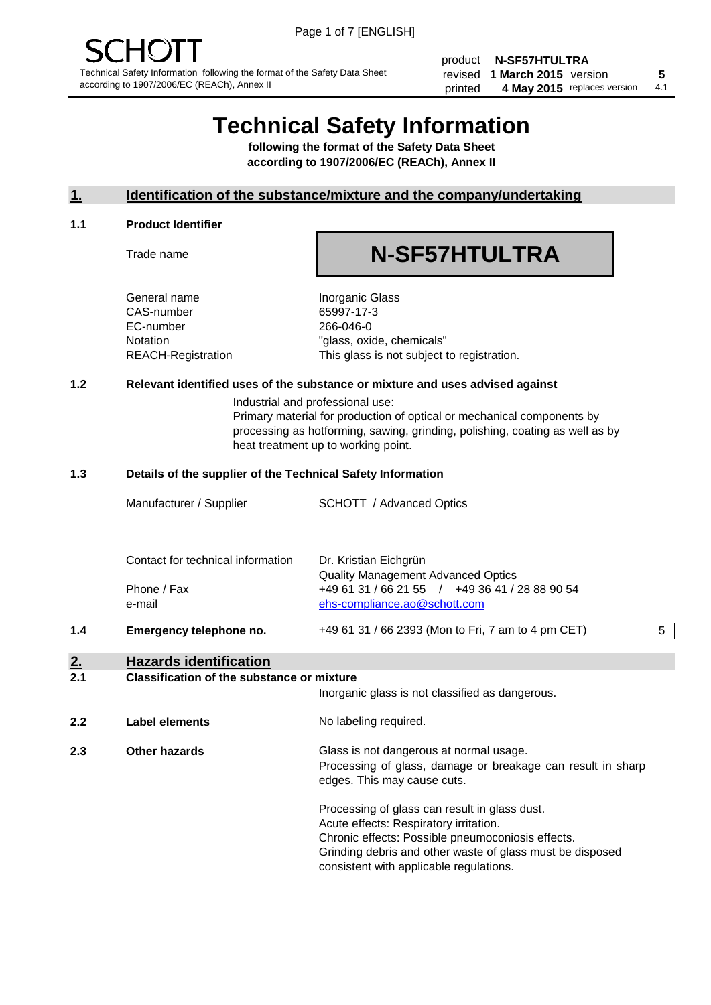## **Technical Safety Information**

**following the format of the Safety Data Sheet according to 1907/2006/EC (REACh), Annex II**

#### **1. Identification of the substance/mixture and the company/undertaking**

#### **1.1 Product Identifier**

Trade name

# **N-SF57HTULTRA**

General name **Inorganic Glass** CAS-number 65997-17-3 EC-number 266-046-0

Notation "glass, oxide, chemicals" REACH-Registration This glass is not subject to registration.

#### **1.2 Relevant identified uses of the substance or mixture and uses advised against**

Industrial and professional use: Primary material for production of optical or mechanical components by processing as hotforming, sawing, grinding, polishing, coating as well as by heat treatment up to working point.

#### **1.3 Details of the supplier of the Technical Safety Information**

|     | Manufacturer / Supplier           | <b>SCHOTT</b> / Advanced Optics                                                |   |
|-----|-----------------------------------|--------------------------------------------------------------------------------|---|
|     |                                   |                                                                                |   |
|     | Contact for technical information | Dr. Kristian Eichgrün<br><b>Quality Management Advanced Optics</b>             |   |
|     | Phone / Fax<br>e-mail             | +49 61 31 / 66 21 55 / +49 36 41 / 28 88 90 54<br>ehs-compliance.ao@schott.com |   |
| 1.4 | Emergency telephone no.           | +49 61 31 / 66 2393 (Mon to Fri, 7 am to 4 pm CET)                             | 5 |
|     |                                   |                                                                                |   |

## **2. Hazards identification**

#### **2.1 Classification of the substance or mixture**

|     |                      | Inorganic glass is not classified as dangerous.                                                                                                                                                                                                      |
|-----|----------------------|------------------------------------------------------------------------------------------------------------------------------------------------------------------------------------------------------------------------------------------------------|
| 2.2 | Label elements       | No labeling required.                                                                                                                                                                                                                                |
| 2.3 | <b>Other hazards</b> | Glass is not dangerous at normal usage.<br>Processing of glass, damage or breakage can result in sharp<br>edges. This may cause cuts.                                                                                                                |
|     |                      | Processing of glass can result in glass dust.<br>Acute effects: Respiratory irritation.<br>Chronic effects: Possible pneumoconiosis effects.<br>Grinding debris and other waste of glass must be disposed<br>consistent with applicable regulations. |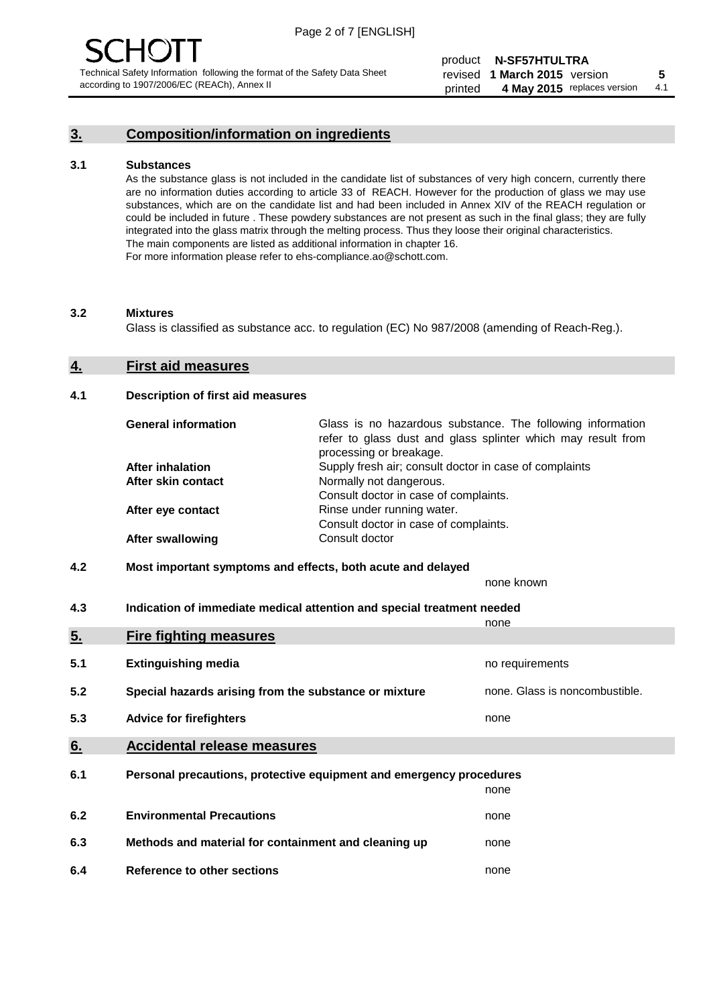### **3. Composition/information on ingredients**

#### **3.1 Substances**

As the substance glass is not included in the candidate list of substances of very high concern, currently there are no information duties according to article 33 of REACH. However for the production of glass we may use substances, which are on the candidate list and had been included in Annex XIV of the REACH regulation or could be included in future . These powdery substances are not present as such in the final glass; they are fully integrated into the glass matrix through the melting process. Thus they loose their original characteristics. The main components are listed as additional information in chapter 16. For more information please refer to ehs-compliance.ao@schott.com.

#### **3.2 Mixtures**

Glass is classified as substance acc. to regulation (EC) No 987/2008 (amending of Reach-Reg.).

#### **4. First aid measures**

#### **4.1 Description of first aid measures**

| <b>General information</b> | Glass is no hazardous substance. The following information<br>refer to glass dust and glass splinter which may result from<br>processing or breakage. |
|----------------------------|-------------------------------------------------------------------------------------------------------------------------------------------------------|
| <b>After inhalation</b>    | Supply fresh air; consult doctor in case of complaints                                                                                                |
| After skin contact         | Normally not dangerous.                                                                                                                               |
|                            | Consult doctor in case of complaints.                                                                                                                 |
| After eye contact          | Rinse under running water.                                                                                                                            |
|                            | Consult doctor in case of complaints.                                                                                                                 |
| <b>After swallowing</b>    | Consult doctor                                                                                                                                        |

#### **4.2 Most important symptoms and effects, both acute and delayed**

none known

**4.3 Indication of immediate medical attention and special treatment needed** 

|     |                                                                     | none                           |
|-----|---------------------------------------------------------------------|--------------------------------|
| 5.  | <b>Fire fighting measures</b>                                       |                                |
| 5.1 | <b>Extinguishing media</b>                                          | no requirements                |
| 5.2 | Special hazards arising from the substance or mixture               | none. Glass is noncombustible. |
| 5.3 | <b>Advice for firefighters</b>                                      | none                           |
| 6.  | <b>Accidental release measures</b>                                  |                                |
| 6.1 | Personal precautions, protective equipment and emergency procedures |                                |
|     |                                                                     | none                           |
| 6.2 | <b>Environmental Precautions</b>                                    | none                           |
| 6.3 | Methods and material for containment and cleaning up                | none                           |
| 6.4 | Reference to other sections                                         | none                           |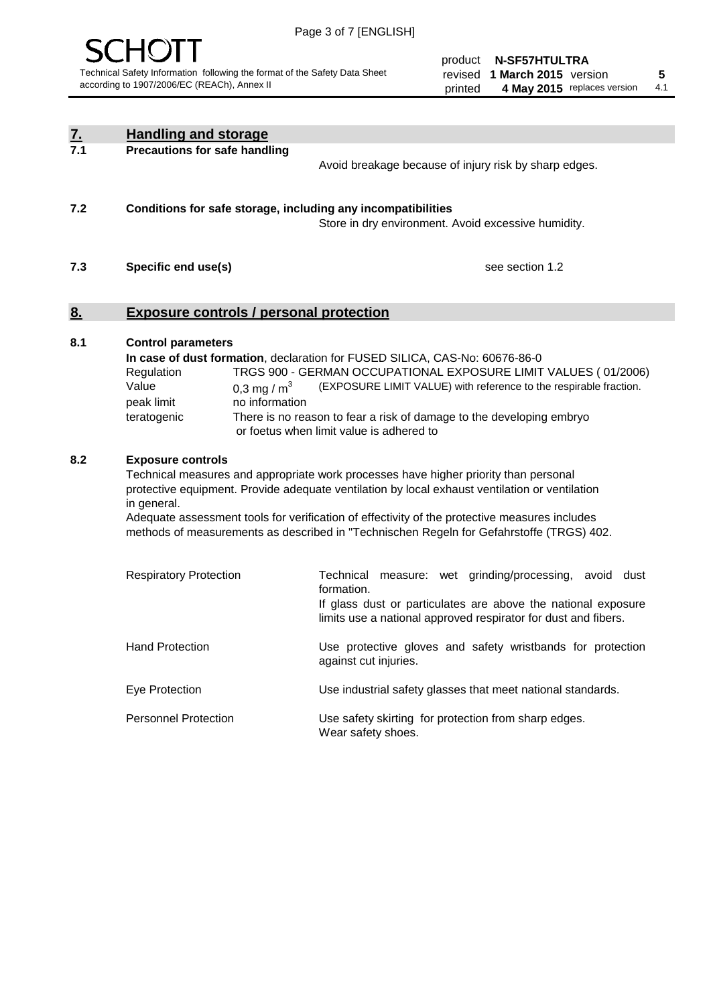

| <u>7.</u><br>7.1 | <b>Handling and storage</b>                                                                                      |                                                                                                                                                                                                                                                                                                                                                                                     |
|------------------|------------------------------------------------------------------------------------------------------------------|-------------------------------------------------------------------------------------------------------------------------------------------------------------------------------------------------------------------------------------------------------------------------------------------------------------------------------------------------------------------------------------|
|                  | <b>Precautions for safe handling</b>                                                                             | Avoid breakage because of injury risk by sharp edges.                                                                                                                                                                                                                                                                                                                               |
| 7.2              | Conditions for safe storage, including any incompatibilities                                                     | Store in dry environment. Avoid excessive humidity.                                                                                                                                                                                                                                                                                                                                 |
| 7.3              | Specific end use(s)                                                                                              | see section 1.2                                                                                                                                                                                                                                                                                                                                                                     |
| <u>8.</u>        | <b>Exposure controls / personal protection</b>                                                                   |                                                                                                                                                                                                                                                                                                                                                                                     |
| 8.1              | <b>Control parameters</b><br>Regulation<br>Value<br>0,3 mg / $m3$<br>peak limit<br>no information<br>teratogenic | In case of dust formation, declaration for FUSED SILICA, CAS-No: 60676-86-0<br>TRGS 900 - GERMAN OCCUPATIONAL EXPOSURE LIMIT VALUES (01/2006)<br>(EXPOSURE LIMIT VALUE) with reference to the respirable fraction.<br>There is no reason to fear a risk of damage to the developing embryo<br>or foetus when limit value is adhered to                                              |
| 8.2              | <b>Exposure controls</b><br>in general.                                                                          | Technical measures and appropriate work processes have higher priority than personal<br>protective equipment. Provide adequate ventilation by local exhaust ventilation or ventilation<br>Adequate assessment tools for verification of effectivity of the protective measures includes<br>methods of measurements as described in "Technischen Regeln for Gefahrstoffe (TRGS) 402. |
|                  | <b>Respiratory Protection</b>                                                                                    | Technical measure: wet grinding/processing, avoid dust<br>formation.<br>If glass dust or particulates are above the national exposure<br>limits use a national approved respirator for dust and fibers.                                                                                                                                                                             |
|                  | <b>Hand Protection</b>                                                                                           | Use protective gloves and safety wristbands for protection<br>against cut injuries.                                                                                                                                                                                                                                                                                                 |
|                  | Eye Protection                                                                                                   | Use industrial safety glasses that meet national standards.                                                                                                                                                                                                                                                                                                                         |
|                  | <b>Personnel Protection</b>                                                                                      | Use safety skirting for protection from sharp edges.<br>Wear safety shoes.                                                                                                                                                                                                                                                                                                          |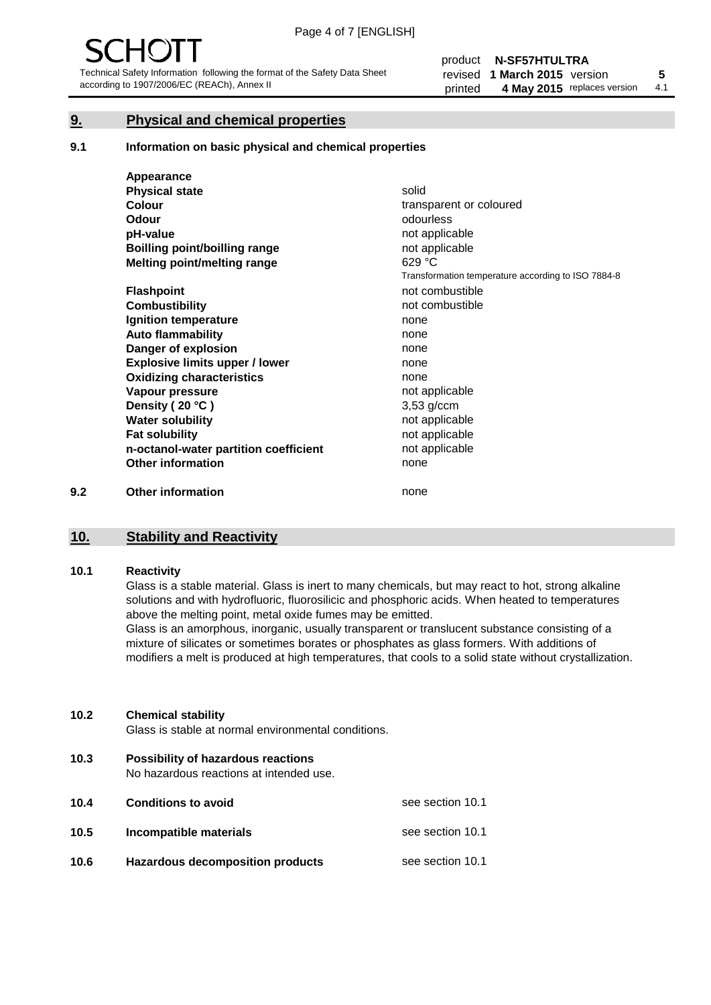#### **9. Physical and chemical properties**

#### **9.1 Information on basic physical and chemical properties**

|     | Appearance                            |                                                    |
|-----|---------------------------------------|----------------------------------------------------|
|     | <b>Physical state</b>                 | solid                                              |
|     | <b>Colour</b>                         | transparent or coloured                            |
|     | <b>Odour</b>                          | odourless                                          |
|     | pH-value                              | not applicable                                     |
|     | <b>Boilling point/boilling range</b>  | not applicable                                     |
|     | Melting point/melting range           | 629 °C                                             |
|     |                                       | Transformation temperature according to ISO 7884-8 |
|     | <b>Flashpoint</b>                     | not combustible                                    |
|     | <b>Combustibility</b>                 | not combustible                                    |
|     | Ignition temperature                  | none                                               |
|     | <b>Auto flammability</b>              | none                                               |
|     | Danger of explosion                   | none                                               |
|     | <b>Explosive limits upper / lower</b> | none                                               |
|     | <b>Oxidizing characteristics</b>      | none                                               |
|     | Vapour pressure                       | not applicable                                     |
|     | Density (20 °C)                       | $3,53$ g/ccm                                       |
|     | <b>Water solubility</b>               | not applicable                                     |
|     | <b>Fat solubility</b>                 | not applicable                                     |
|     | n-octanol-water partition coefficient | not applicable                                     |
|     | <b>Other information</b>              | none                                               |
| 9.2 | <b>Other information</b>              | none                                               |

#### **10. Stability and Reactivity**

#### **10.1 Reactivity**

Glass is a stable material. Glass is inert to many chemicals, but may react to hot, strong alkaline solutions and with hydrofluoric, fluorosilicic and phosphoric acids. When heated to temperatures above the melting point, metal oxide fumes may be emitted.

Glass is an amorphous, inorganic, usually transparent or translucent substance consisting of a mixture of silicates or sometimes borates or phosphates as glass formers. With additions of modifiers a melt is produced at high temperatures, that cools to a solid state without crystallization.

#### **10.2 Chemical stability**

Glass is stable at normal environmental conditions.

**10.3 Possibility of hazardous reactions** 

No hazardous reactions at intended use.

| 10.4 | <b>Conditions to avoid</b>              | see section 10.1 |
|------|-----------------------------------------|------------------|
| 10.5 | Incompatible materials                  | see section 10.1 |
| 10.6 | <b>Hazardous decomposition products</b> | see section 10.1 |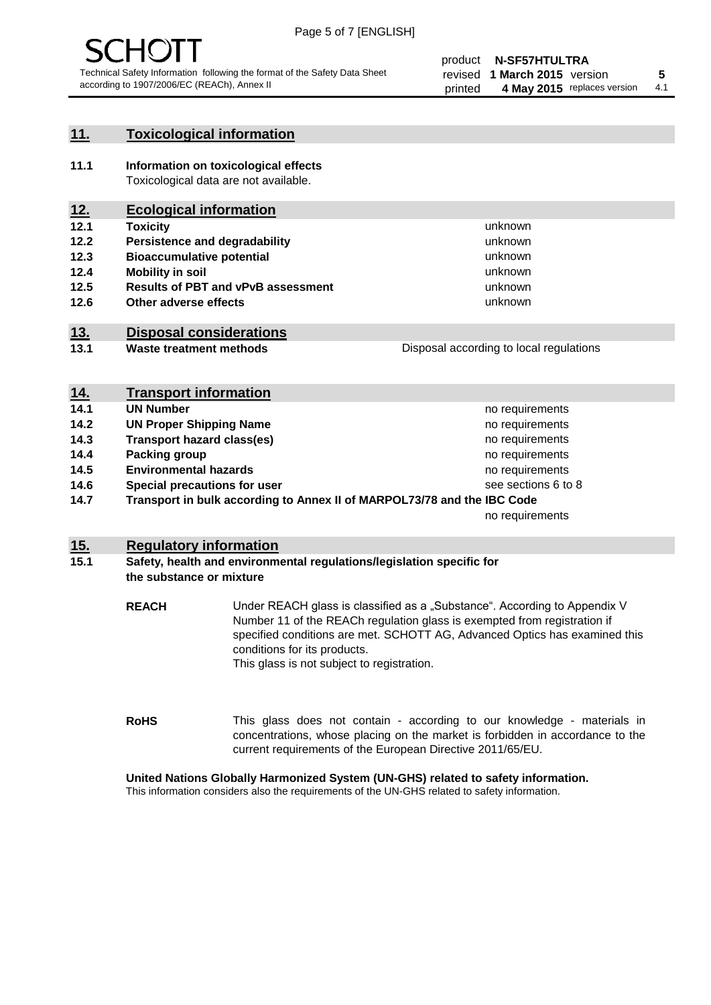

#### **11. Toxicological information**

**11.1 Information on toxicological effects** Toxicological data are not available.

#### **12. Ecological information**

- **12.1 Toxicity**
- **12.2 Persistence and degradability**
- **12.3 Bioaccumulative potential**
- **12.4 Mobility in soil**
- **12.5 Results of PBT and vPvB assessment**
- **12.6 Other adverse effects**

#### **13. Disposal considerations**

**13.1 Waste treatment methods**

| Disposal according to local regulations |  |
|-----------------------------------------|--|
|                                         |  |

unknown unknown unknown unknown

unknown unknown

| <u>14.</u> | <b>Transport information</b>                                            |                     |
|------------|-------------------------------------------------------------------------|---------------------|
| 14.1       | <b>UN Number</b>                                                        | no requirements     |
| 14.2       | <b>UN Proper Shipping Name</b>                                          | no requirements     |
| 14.3       | <b>Transport hazard class(es)</b>                                       | no requirements     |
| 14.4       | Packing group                                                           | no requirements     |
| 14.5       | <b>Environmental hazards</b>                                            | no requirements     |
| 14.6       | Special precautions for user                                            | see sections 6 to 8 |
| 14.7       | Transport in bulk according to Annex II of MARPOL73/78 and the IBC Code |                     |
|            |                                                                         | no requirements     |

#### **15. Regulatory information**

#### **15.1 Safety, health and environmental regulations/legislation specific for the substance or mixture**

**REACH** Under REACH glass is classified as a "Substance". According to Appendix V Number 11 of the REACh regulation glass is exempted from registration if specified conditions are met. SCHOTT AG, Advanced Optics has examined this conditions for its products. This glass is not subject to registration.

**RoHS** This glass does not contain - according to our knowledge - materials in concentrations, whose placing on the market is forbidden in accordance to the current requirements of the European Directive 2011/65/EU.

#### **United Nations Globally Harmonized System (UN-GHS) related to safety information.**

This information considers also the requirements of the UN-GHS related to safety information.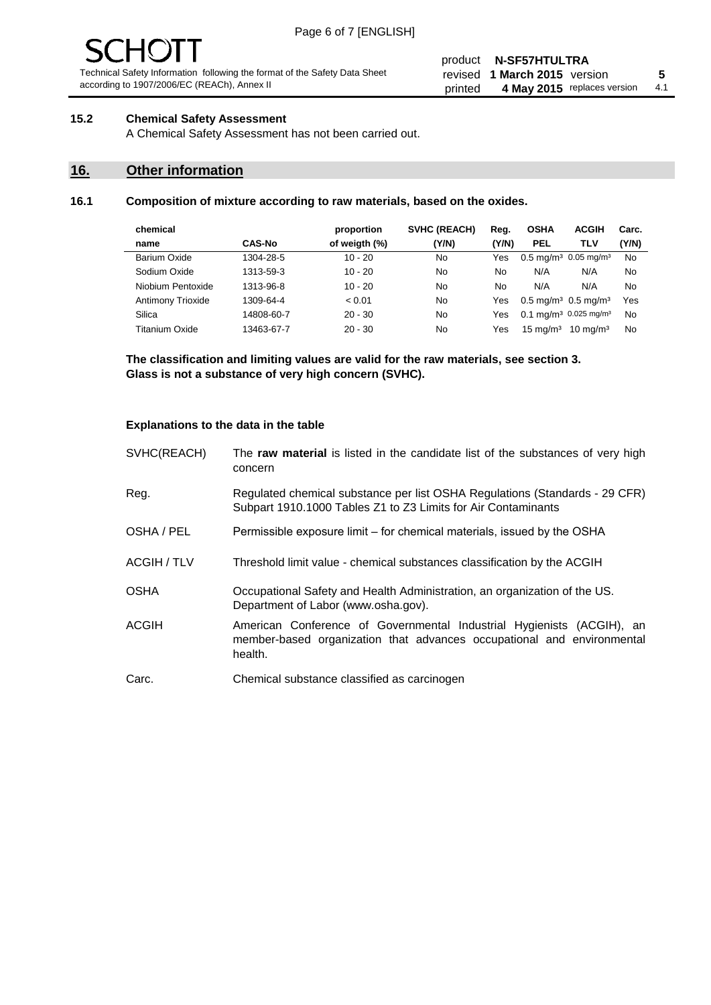# 10 J

Technical Safety Information following the format of the Safety Data Sheet according to 1907/2006/EC (REACh), Annex II

#### product **N-SF57HTULTRA** revised **5 1 March 2015** version printed 4 May 2015 replaces version 4.1

#### **15.2 Chemical Safety Assessment**

A Chemical Safety Assessment has not been carried out.

#### **16. Other information**

#### **16.1 Composition of mixture according to raw materials, based on the oxides.**

| <b>ACGIH</b><br>Carc.                                |
|------------------------------------------------------|
| (Y/N)                                                |
| $0.5 \text{ mg/m}^3$ 0.05 mg/m <sup>3</sup><br>No    |
| No                                                   |
| No                                                   |
| Yes<br>$0.5 \,\mathrm{mq/m^3}$ 0.5 mg/m <sup>3</sup> |
| 0.1 mg/m <sup>3</sup> 0.025 mg/m <sup>3</sup><br>No  |
| $10 \text{ ma/m}^3$<br>No                            |
| TLV<br>N/A<br>N/A                                    |

**The classification and limiting values are valid for the raw materials, see section 3. Glass is not a substance of very high concern (SVHC).**

#### **Explanations to the data in the table**

| SVHC(REACH)        | The raw material is listed in the candidate list of the substances of very high<br>concern                                                                 |
|--------------------|------------------------------------------------------------------------------------------------------------------------------------------------------------|
| Reg.               | Regulated chemical substance per list OSHA Regulations (Standards - 29 CFR)<br>Subpart 1910.1000 Tables Z1 to Z3 Limits for Air Contaminants               |
| OSHA / PEL         | Permissible exposure limit – for chemical materials, issued by the OSHA                                                                                    |
| <b>ACGIH / TLV</b> | Threshold limit value - chemical substances classification by the ACGIH                                                                                    |
| <b>OSHA</b>        | Occupational Safety and Health Administration, an organization of the US.<br>Department of Labor (www.osha.gov).                                           |
| <b>ACGIH</b>       | American Conference of Governmental Industrial Hygienists (ACGIH), an<br>member-based organization that advances occupational and environmental<br>health. |
| Carc.              | Chemical substance classified as carcinogen                                                                                                                |